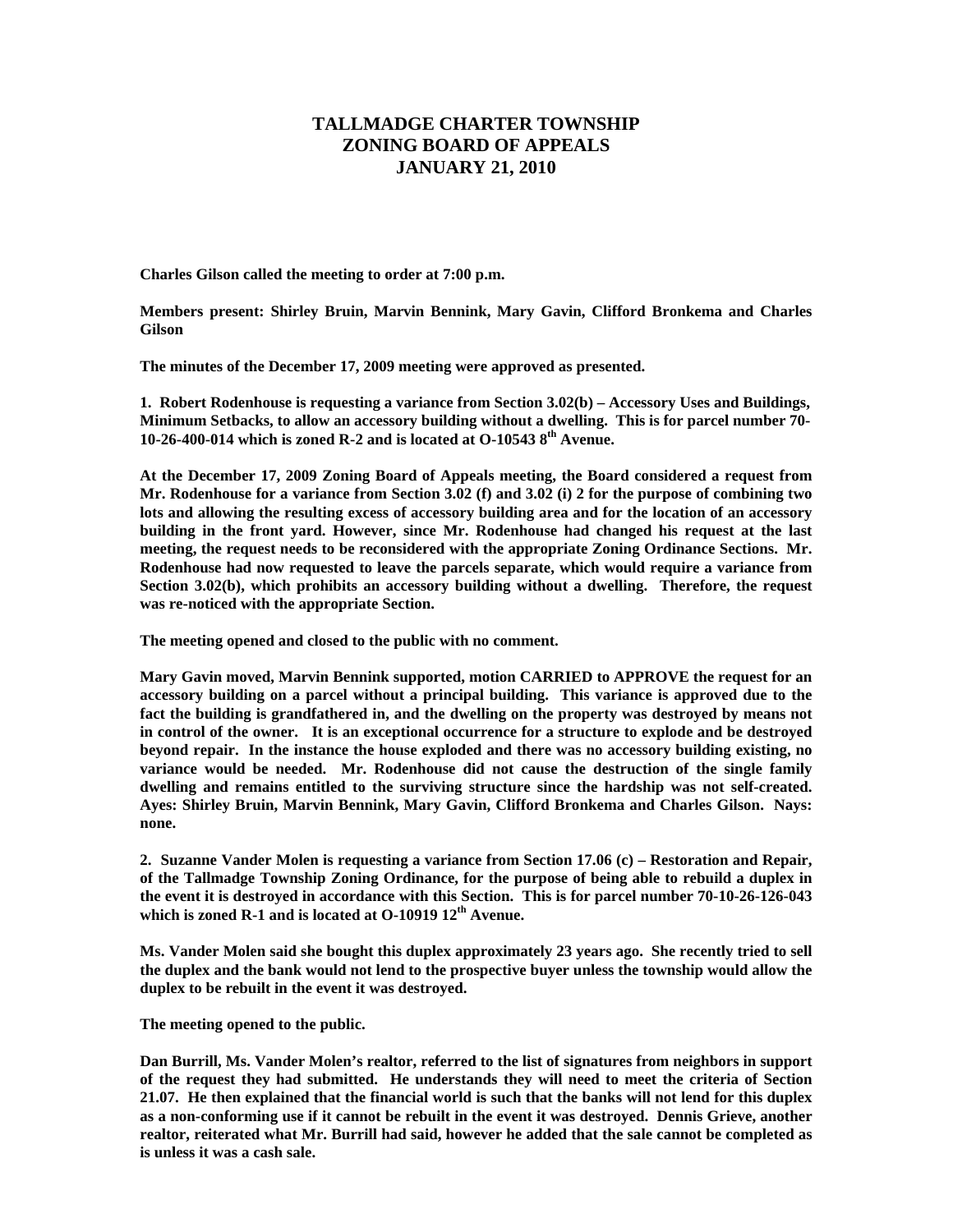## **TALLMADGE CHARTER TOWNSHIP ZONING BOARD OF APPEALS JANUARY 21, 2010**

**Charles Gilson called the meeting to order at 7:00 p.m.** 

**Members present: Shirley Bruin, Marvin Bennink, Mary Gavin, Clifford Bronkema and Charles Gilson** 

**The minutes of the December 17, 2009 meeting were approved as presented.** 

**1. Robert Rodenhouse is requesting a variance from Section 3.02(b) – Accessory Uses and Buildings, Minimum Setbacks, to allow an accessory building without a dwelling. This is for parcel number 70- 10-26-400-014 which is zoned R-2 and is located at O-10543 8th Avenue.** 

**At the December 17, 2009 Zoning Board of Appeals meeting, the Board considered a request from Mr. Rodenhouse for a variance from Section 3.02 (f) and 3.02 (i) 2 for the purpose of combining two lots and allowing the resulting excess of accessory building area and for the location of an accessory building in the front yard. However, since Mr. Rodenhouse had changed his request at the last meeting, the request needs to be reconsidered with the appropriate Zoning Ordinance Sections. Mr. Rodenhouse had now requested to leave the parcels separate, which would require a variance from Section 3.02(b), which prohibits an accessory building without a dwelling. Therefore, the request was re-noticed with the appropriate Section.** 

**The meeting opened and closed to the public with no comment.** 

**Mary Gavin moved, Marvin Bennink supported, motion CARRIED to APPROVE the request for an accessory building on a parcel without a principal building. This variance is approved due to the fact the building is grandfathered in, and the dwelling on the property was destroyed by means not in control of the owner. It is an exceptional occurrence for a structure to explode and be destroyed beyond repair. In the instance the house exploded and there was no accessory building existing, no variance would be needed. Mr. Rodenhouse did not cause the destruction of the single family dwelling and remains entitled to the surviving structure since the hardship was not self-created. Ayes: Shirley Bruin, Marvin Bennink, Mary Gavin, Clifford Bronkema and Charles Gilson. Nays: none.** 

**2. Suzanne Vander Molen is requesting a variance from Section 17.06 (c) – Restoration and Repair, of the Tallmadge Township Zoning Ordinance, for the purpose of being able to rebuild a duplex in the event it is destroyed in accordance with this Section. This is for parcel number 70-10-26-126-043 which is zoned R-1 and is located at O-10919 12th Avenue.** 

**Ms. Vander Molen said she bought this duplex approximately 23 years ago. She recently tried to sell the duplex and the bank would not lend to the prospective buyer unless the township would allow the duplex to be rebuilt in the event it was destroyed.** 

**The meeting opened to the public.** 

**Dan Burrill, Ms. Vander Molen's realtor, referred to the list of signatures from neighbors in support of the request they had submitted. He understands they will need to meet the criteria of Section 21.07. He then explained that the financial world is such that the banks will not lend for this duplex as a non-conforming use if it cannot be rebuilt in the event it was destroyed. Dennis Grieve, another realtor, reiterated what Mr. Burrill had said, however he added that the sale cannot be completed as is unless it was a cash sale.**